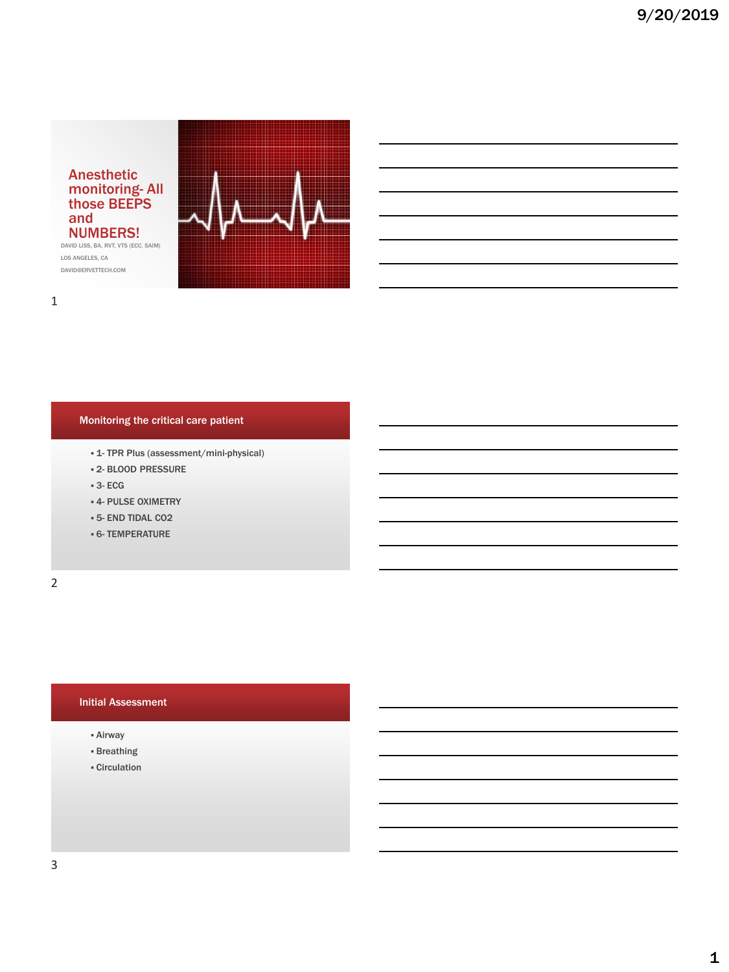

DAVID LISS, BA, RVT, VTS (ECC, SAIM) LOS ANGELES, CA DAVID@ERVETTECH.COM



## 1

#### Monitoring the critical care patient

- 1- TPR Plus (assessment/mini-physical)
- 2- BLOOD PRESSURE
- 3- ECG
- **4- PULSE OXIMETRY**
- 5- END TIDAL CO2
- 6- TEMPERATURE

2

## Initial Assessment

- Airway
- Breathing
- Circulation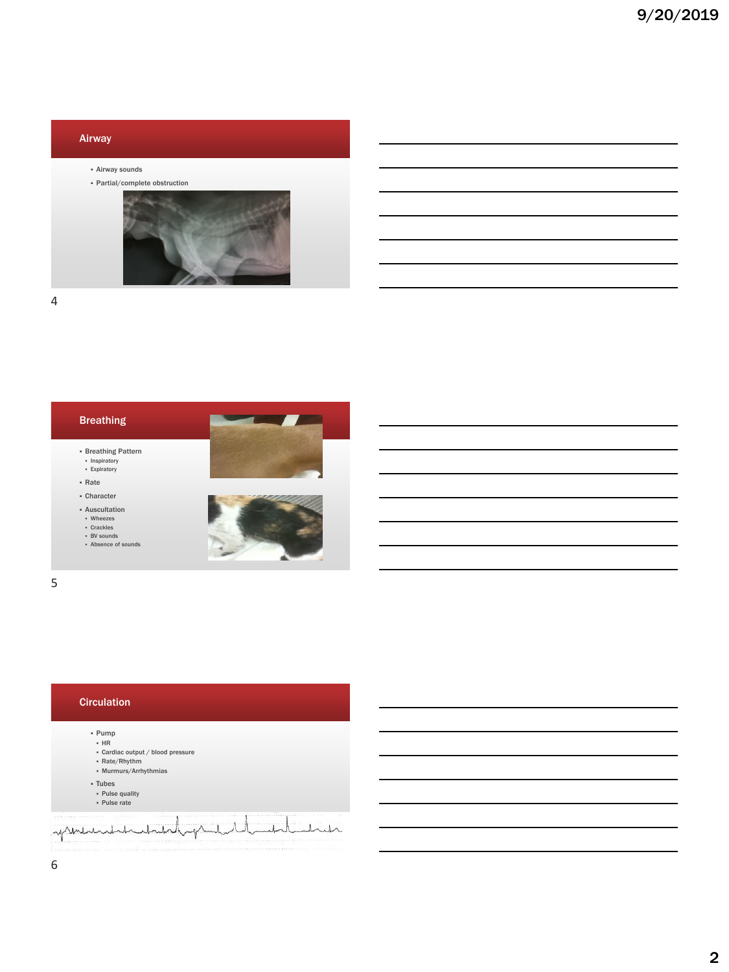

4



5

#### **Circulation**

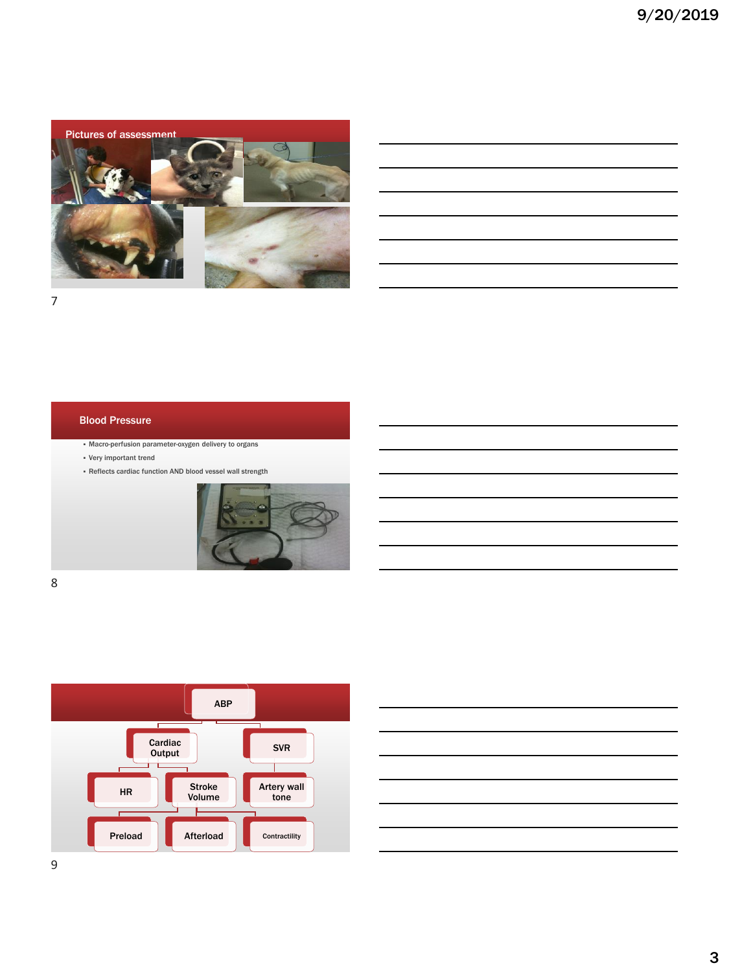

## Blood Pressure

▪ Macro-perfusion parameter-oxygen delivery to organs

- Very important trend
- Reflects cardiac function AND blood vessel wall strength





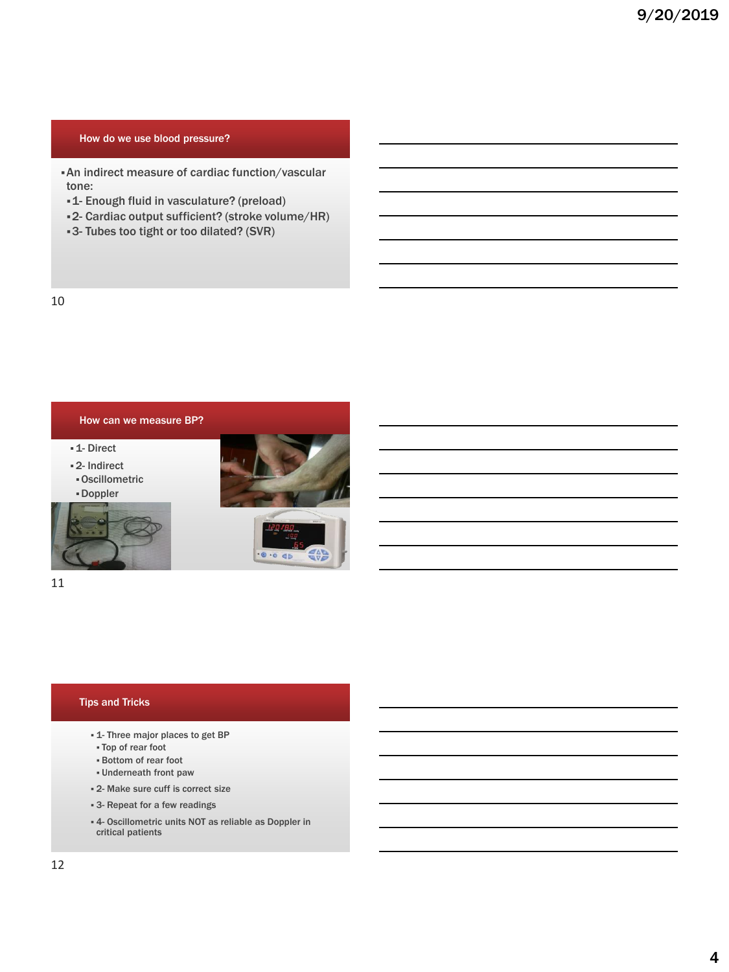#### How do we use blood pressure?

- ▪An indirect measure of cardiac function/vascular tone:
- ▪1- Enough fluid in vasculature? (preload)
- ▪2- Cardiac output sufficient? (stroke volume/HR)
- ▪3- Tubes too tight or too dilated? (SVR)

10



11

#### Tips and Tricks

- 1- Three major places to get BP
- Top of rear foot
- Bottom of rear foot
- Underneath front paw
- 2- Make sure cuff is correct size
- 3- Repeat for a few readings
- 4- Oscillometric units NOT as reliable as Doppler in critical patients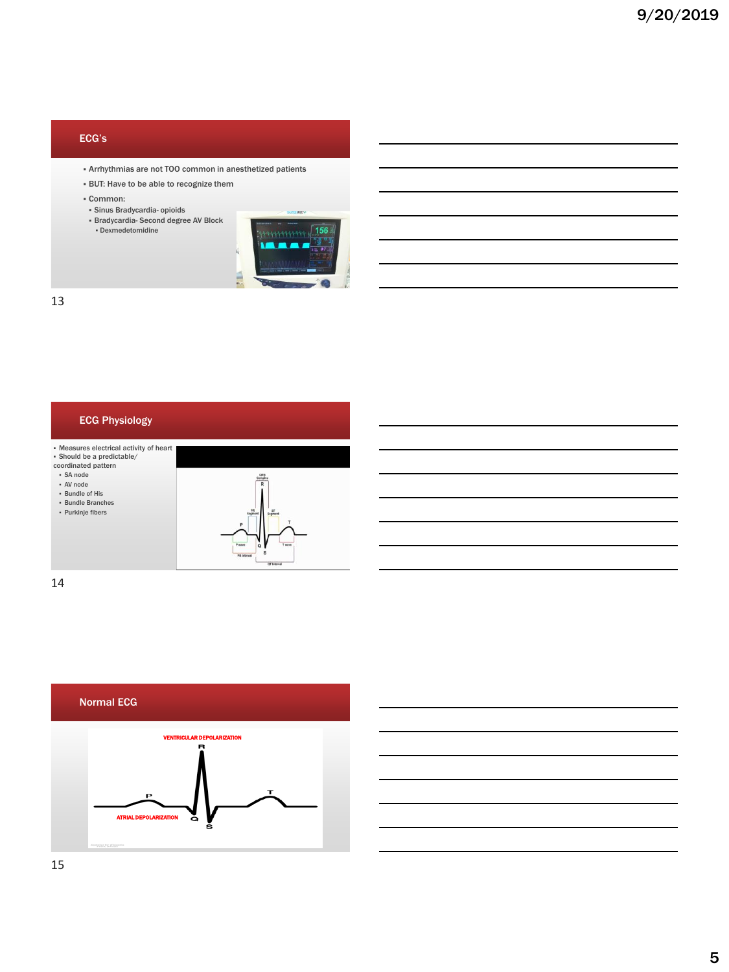## ECG's

- Arrhythmias are not TOO common in anesthetized patients
- BUT: Have to be able to recognize them
- Common:
- Sinus Bradycardia- opioids
- Bradycardia- Second degree AV Block ▪ Dexmedetomidine



13

## ECG Physiology

▪ Measures electrical activity of heart ▪ Should be a predictable/

coordinated pattern

▪ SA node

▪ AV node ▪ Bundle of His

▪ Bundle Branches

▪ Purkinje fibers



14



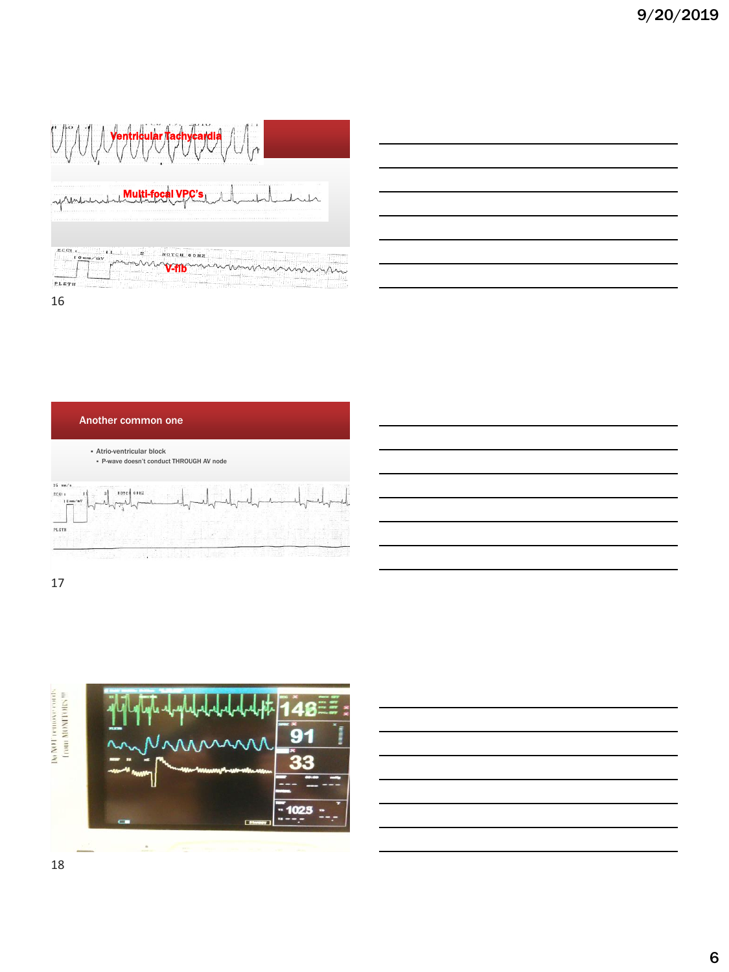|                                                        | 2010/01/12 15:00                               |
|--------------------------------------------------------|------------------------------------------------|
|                                                        | <b></b><br><b>VALUE OF DECISION CONTRACTOR</b> |
| $ECGL_{\mathcal{X},\mathbb{C}}$<br>$1.0$ mm/mV<br>LETH | NOTCH 60 Hz                                    |

16







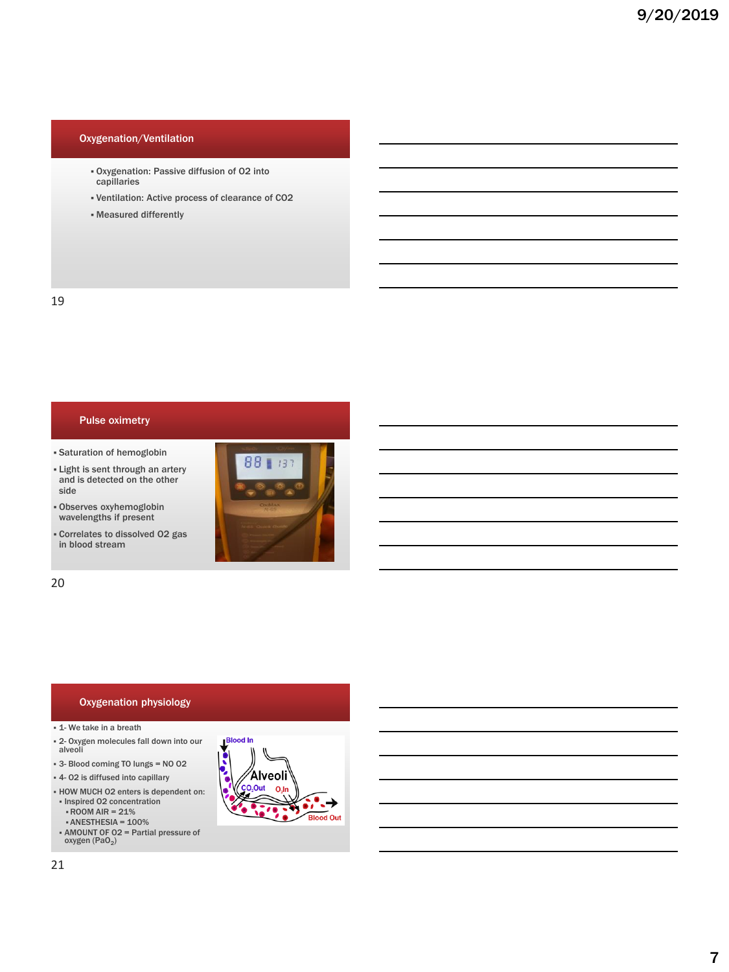## Oxygenation/Ventilation

- Oxygenation: Passive diffusion of O2 into capillaries
- Ventilation: Active process of clearance of CO2
- Measured differently

#### Pulse oximetry

- Saturation of hemoglobin
- **.** Light is sent through an artery and is detected on the other side
- Observes oxyhemoglobin wavelengths if present
- Correlates to dissolved O2 gas in blood stream



20

#### Oxygenation physiology

#### **E** 1- We take in a breath

- 2- Oxygen molecules fall down into our alveoli
- 3- Blood coming TO lungs = NO O2
- 4- O2 is diffused into capillary
- HOW MUCH O2 enters is dependent on: ▪ Inspired O2 concentration ▪ROOM AIR = 21%
	-
	- $\cdot$  ANESTHESIA = 100%
- **EXECUTE:** AMOUNT OF 02 = Partial pressure of oxygen (PaO<sub>2</sub>)



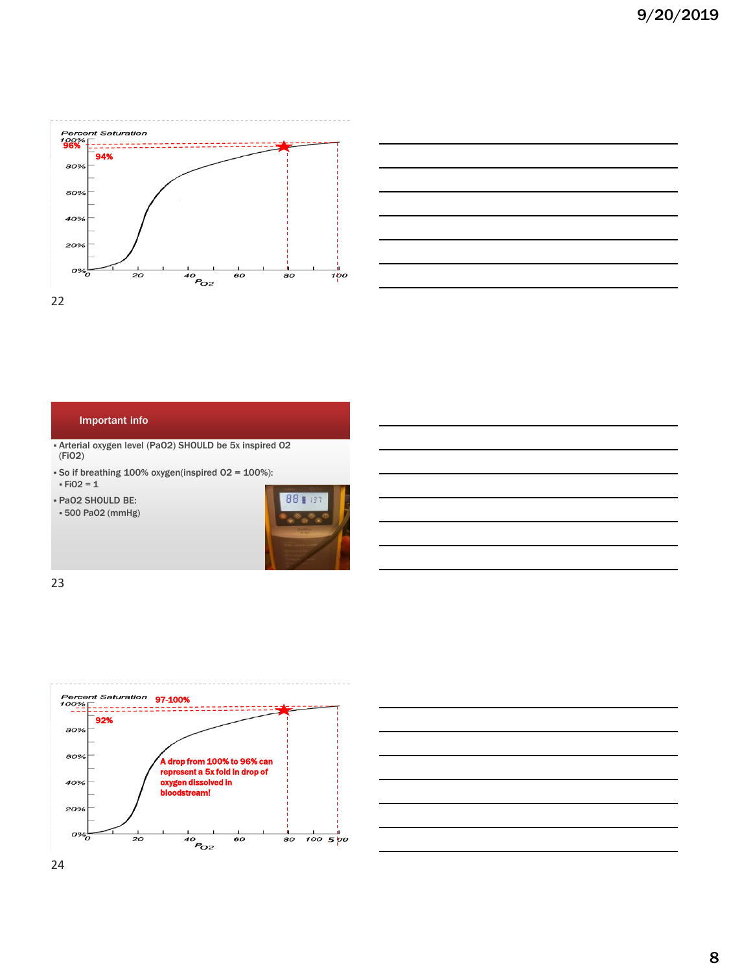



#### Important info

- Arterial oxygen level (PaO2) SHOULD be 5x inspired O2 (FiO2)
- So if breathing 100% oxygen(inspired O2 = 100%):
- $FIO2 = 1$
- PaO2 SHOULD BE:
- 500 PaO2 (mmHg)





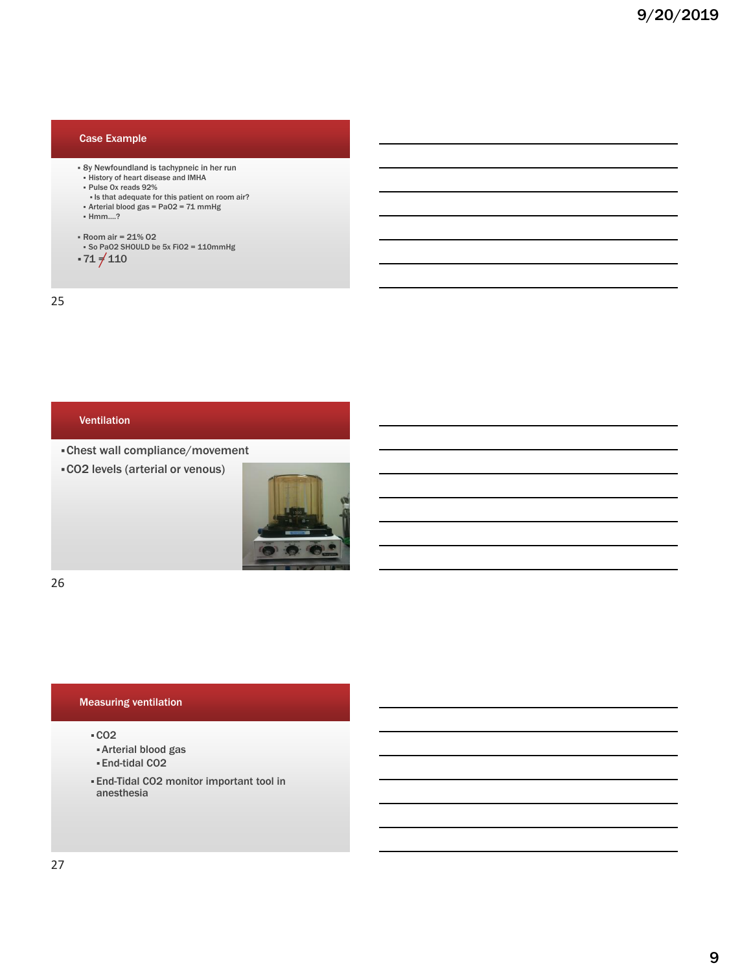## Case Example

- 8y Newfoundland is tachypneic in her run History of heart disease and IMHA
- Pulse Ox reads 92%
- Is that adequate for this patient on room air? Arterial blood gas = PaO2 = 71 mmHg
- 
- Hmm….?
- Room air = 21% O2
- So PaO2 SHOULD be 5x FiO2 = 110mmHg
- $\cdot 71 \neq 110$

25

## Ventilation

▪Chest wall compliance/movement

▪CO2 levels (arterial or venous)



26

#### Measuring ventilation

#### ▪CO2

- ▪Arterial blood gas
- ▪End-tidal CO2
- End-Tidal CO2 monitor important tool in anesthesia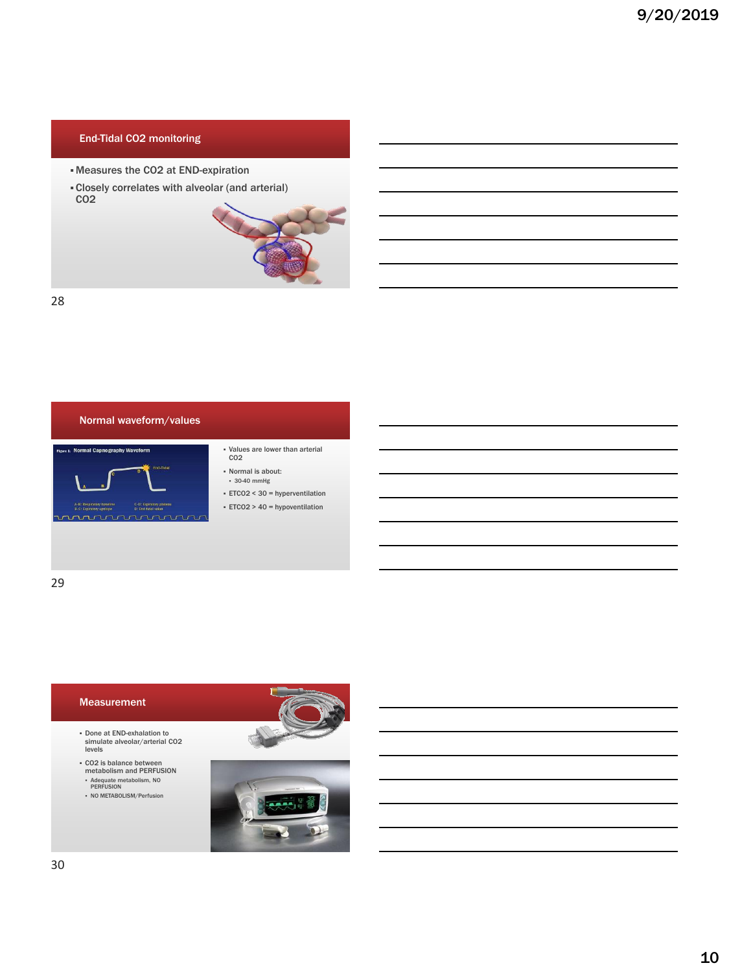## End-Tidal CO2 monitoring

- Measures the CO2 at END-expiration
- ▪Closely correlates with alveolar (and arterial) CO2



28



C-D: Ex<br>D: End

- Values are lower than arterial<br>CO2
- Normal is about: ▪ 30-40 mmHg
- ETCO2 < 30 = hyperventilation
- ETCO2 > 40 = hypoventilation

29

# Measurement ▪ Done at END-exhalation to simulate alveolar/arterial CO2 levels ▪ CO2 is balance between metabolism and PERFUSION ▪ Adequate metabolism, NO PERFUSION ▪ NO METABOLISM/Perfusion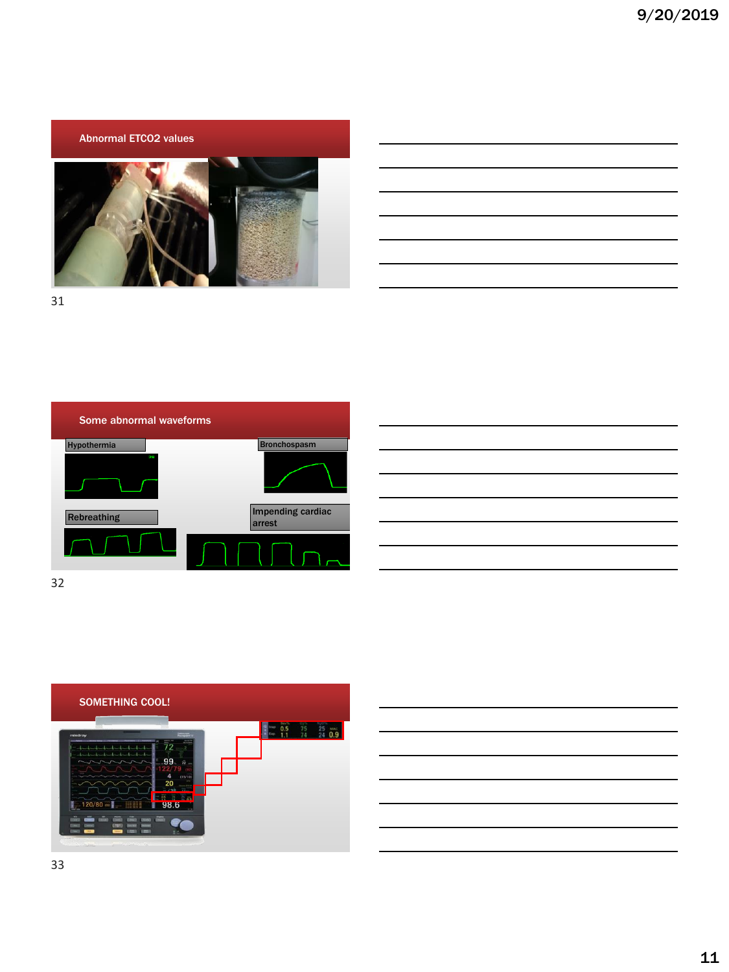Abnormal ETCO2 values



31





32